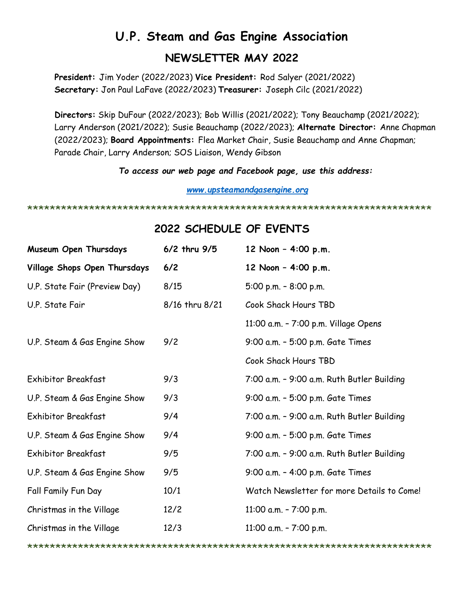# **U.P. Steam and Gas Engine Association NEWSLETTER MAY 2022**

**President:** Jim Yoder (2022/2023) **Vice President:** Rod Salyer (2021/2022) **Secretary:** Jon Paul LaFave (2022/2023) **Treasurer:** Joseph Cilc (2021/2022)

**Directors:** Skip DuFour (2022/2023); Bob Willis (2021/2022); Tony Beauchamp (2021/2022); Larry Anderson (2021/2022); Susie Beauchamp (2022/2023); **Alternate Director:** Anne Chapman (2022/2023); **Board Appointments:** Flea Market Chair, Susie Beauchamp and Anne Chapman; Parade Chair, Larry Anderson; SOS Liaison, Wendy Gibson

*To access our web page and Facebook page, use this address:*

*[www.upsteamandgasengine.org](http://www.upsteamandgasengine.org/)*

\*\*\*\*\*\*\*\*\*\*\*\*\*\*\*\*\*\*\*\*\*\*\*\*\*\*\*\*\*\*\*\*\*\*\*\*\*\*\*\*\*\*\*\*\*\*\*\*\*\*\*\*\*\*\*\*\*\*\*\*\*\*\*\*\*\*\*\*\*\*\*\*

# **2022 SCHEDULE OF EVENTS**

| Museum Open Thursdays         | 6/2 thru 9/5   | 12 Noon - 4:00 p.m.                        |
|-------------------------------|----------------|--------------------------------------------|
| Village Shops Open Thursdays  | $6/2$          | 12 Noon - 4:00 p.m.                        |
| U.P. State Fair (Preview Day) | 8/15           | 5:00 p.m. $-$ 8:00 p.m.                    |
| U.P. State Fair               | 8/16 thru 8/21 | Cook Shack Hours TBD                       |
|                               |                | 11:00 a.m. - 7:00 p.m. Village Opens       |
| U.P. Steam & Gas Engine Show  | 9/2            | 9:00 a.m. - 5:00 p.m. Gate Times           |
|                               |                | Cook Shack Hours TBD                       |
| <b>Exhibitor Breakfast</b>    | 9/3            | 7:00 a.m. - 9:00 a.m. Ruth Butler Building |
| U.P. Steam & Gas Engine Show  | 9/3            | 9:00 a.m. - 5:00 p.m. Gate Times           |
| <b>Exhibitor Breakfast</b>    | 9/4            | 7:00 a.m. - 9:00 a.m. Ruth Butler Building |
| U.P. Steam & Gas Engine Show  | 9/4            | 9:00 a.m. - 5:00 p.m. Gate Times           |
| Exhibitor Breakfast           | 9/5            | 7:00 a.m. - 9:00 a.m. Ruth Butler Building |
| U.P. Steam & Gas Engine Show  | 9/5            | 9:00 a.m. - 4:00 p.m. Gate Times           |
| Fall Family Fun Day           | 10/1           | Watch Newsletter for more Details to Come! |
| Christmas in the Village      | 12/2           | 11:00 a.m. $- 7:00$ p.m.                   |
| Christmas in the Village      | 12/3           | 11:00 a.m. - 7:00 p.m.                     |

\*\*\*\*\*\*\*\*\*\*\*\*\*\*\*\*\*\*\*\*\*\*\*\*\*\*\*\*\*\*\*\*\*\*\*\*\*\*\*\*\*\*\*\*\*\*\*\*\*\*\*\*\*\*\*\*\*\*\*\*\*\*\*\*\*\*\*\*\*\*\*\*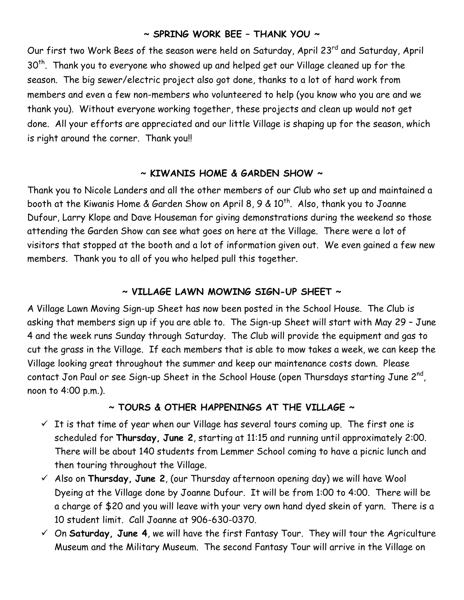#### **~ SPRING WORK BEE – THANK YOU ~**

Our first two Work Bees of the season were held on Saturday, April 23<sup>rd</sup> and Saturday, April 30<sup>th</sup>. Thank you to everyone who showed up and helped get our Village cleaned up for the season. The big sewer/electric project also got done, thanks to a lot of hard work from members and even a few non-members who volunteered to help (you know who you are and we thank you). Without everyone working together, these projects and clean up would not get done. All your efforts are appreciated and our little Village is shaping up for the season, which is right around the corner. Thank you!!

# **~ KIWANIS HOME & GARDEN SHOW ~**

Thank you to Nicole Landers and all the other members of our Club who set up and maintained a booth at the Kiwanis Home & Garden Show on April 8, 9 &  $10^{th}$ . Also, thank you to Joanne Dufour, Larry Klope and Dave Houseman for giving demonstrations during the weekend so those attending the Garden Show can see what goes on here at the Village. There were a lot of visitors that stopped at the booth and a lot of information given out. We even gained a few new members. Thank you to all of you who helped pull this together.

### **~ VILLAGE LAWN MOWING SIGN-UP SHEET ~**

A Village Lawn Moving Sign-up Sheet has now been posted in the School House. The Club is asking that members sign up if you are able to. The Sign-up Sheet will start with May 29 – June 4 and the week runs Sunday through Saturday. The Club will provide the equipment and gas to cut the grass in the Village. If each members that is able to mow takes a week, we can keep the Village looking great throughout the summer and keep our maintenance costs down. Please contact Jon Paul or see Sign-up Sheet in the School House (open Thursdays starting June 2 $^{\mathsf{nd}}$ , noon to 4:00 p.m.).

# **~ TOURS & OTHER HAPPENINGS AT THE VILLAGE ~**

- $\checkmark$  It is that time of year when our Village has several tours coming up. The first one is scheduled for **Thursday, June 2**, starting at 11:15 and running until approximately 2:00. There will be about 140 students from Lemmer School coming to have a picnic lunch and then touring throughout the Village.
- Also on **Thursday, June 2**, (our Thursday afternoon opening day) we will have Wool Dyeing at the Village done by Joanne Dufour. It will be from 1:00 to 4:00. There will be a charge of \$20 and you will leave with your very own hand dyed skein of yarn. There is a 10 student limit. Call Joanne at 906-630-0370.
- $\check{\phantom{1}}$  On **Saturday, June 4**, we will have the first Fantasy Tour. They will tour the Agriculture Museum and the Military Museum. The second Fantasy Tour will arrive in the Village on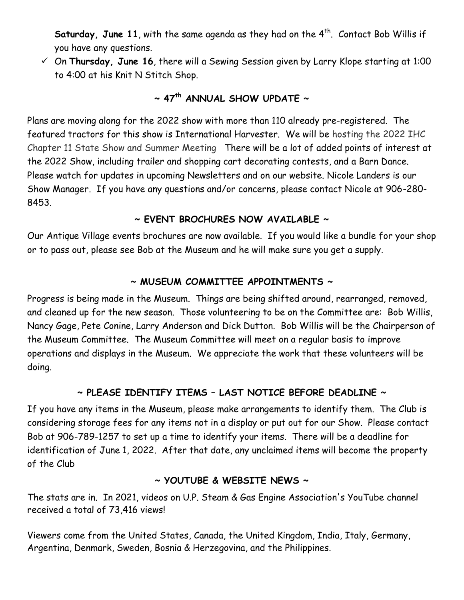Saturday, June 11, with the same agenda as they had on the 4<sup>th</sup>. Contact Bob Willis if you have any questions.

 On **Thursday, June 16**, there will a Sewing Session given by Larry Klope starting at 1:00 to 4:00 at his Knit N Stitch Shop.

# **~ 47th ANNUAL SHOW UPDATE ~**

Plans are moving along for the 2022 show with more than 110 already pre-registered. The featured tractors for this show is International Harvester. We will be hosting the 2022 IHC Chapter 11 State Show and Summer Meeting There will be a lot of added points of interest at the 2022 Show, including trailer and shopping cart decorating contests, and a Barn Dance. Please watch for updates in upcoming Newsletters and on our website. Nicole Landers is our Show Manager. If you have any questions and/or concerns, please contact Nicole at 906-280- 8453.

# **~ EVENT BROCHURES NOW AVAILABLE ~**

Our Antique Village events brochures are now available. If you would like a bundle for your shop or to pass out, please see Bob at the Museum and he will make sure you get a supply.

#### **~ MUSEUM COMMITTEE APPOINTMENTS ~**

Progress is being made in the Museum. Things are being shifted around, rearranged, removed, and cleaned up for the new season. Those volunteering to be on the Committee are: Bob Willis, Nancy Gage, Pete Conine, Larry Anderson and Dick Dutton. Bob Willis will be the Chairperson of the Museum Committee. The Museum Committee will meet on a regular basis to improve operations and displays in the Museum. We appreciate the work that these volunteers will be doing.

# **~ PLEASE IDENTIFY ITEMS – LAST NOTICE BEFORE DEADLINE ~**

If you have any items in the Museum, please make arrangements to identify them. The Club is considering storage fees for any items not in a display or put out for our Show. Please contact Bob at 906-789-1257 to set up a time to identify your items. There will be a deadline for identification of June 1, 2022. After that date, any unclaimed items will become the property of the Club

#### **~ YOUTUBE & WEBSITE NEWS ~**

The stats are in. In 2021, videos on U.P. Steam & Gas Engine Association's YouTube channel received a total of 73,416 views!

Viewers come from the United States, Canada, the United Kingdom, India, Italy, Germany, Argentina, Denmark, Sweden, Bosnia & Herzegovina, and the Philippines.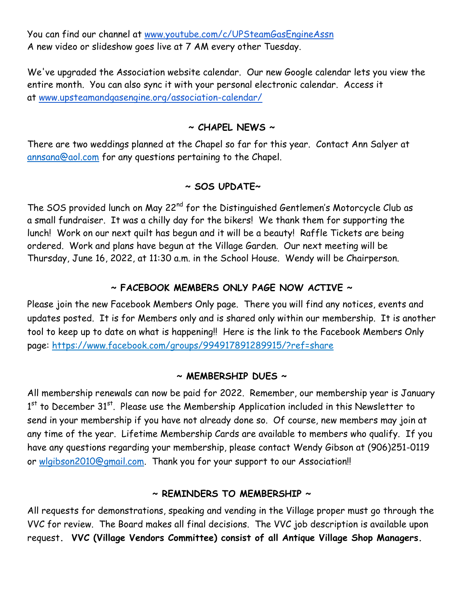You can find our channel at [www.youtube.com/c/UPSteamGasEngineAssn](http://www.youtube.com/c/UPSteamGasEngineAssn) A new video or slideshow goes live at 7 AM every other Tuesday.

We've upgraded the Association website calendar. Our new Google calendar lets you view the entire month. You can also sync it with your personal electronic calendar. Access it at www.upsteamandgasengine.org/association-calendar/

#### **~ CHAPEL NEWS ~**

There are two weddings planned at the Chapel so far for this year. Contact Ann Salyer at [annsana@aol.com](mailto:annsana@aol.com) for any questions pertaining to the Chapel.

#### **~ SOS UPDATE~**

The SOS provided lunch on May 22<sup>nd</sup> for the Distinguished Gentlemen's Motorcycle Club as a small fundraiser. It was a chilly day for the bikers! We thank them for supporting the lunch! Work on our next quilt has begun and it will be a beauty! Raffle Tickets are being ordered. Work and plans have begun at the Village Garden. Our next meeting will be Thursday, June 16, 2022, at 11:30 a.m. in the School House. Wendy will be Chairperson.

#### **~ FACEBOOK MEMBERS ONLY PAGE NOW ACTIVE ~**

Please join the new Facebook Members Only page. There you will find any notices, events and updates posted. It is for Members only and is shared only within our membership. It is another tool to keep up to date on what is happening!! Here is the link to the Facebook Members Only page: https://www.facebook.com/groups/994917891289915/?ref=share

#### **~ MEMBERSHIP DUES ~**

All membership renewals can now be paid for 2022. Remember, our membership year is January  $1<sup>st</sup>$  to December 31 $^{st}$ . Please use the Membership Application included in this Newsletter to send in your membership if you have not already done so. Of course, new members may join at any time of the year. Lifetime Membership Cards are available to members who qualify. If you have any questions regarding your membership, please contact Wendy Gibson at (906)251-0119 or [wlgibson2010@gmail.com.](mailto:wlgibson2010@gmail.com) Thank you for your support to our Association!!

#### **~ REMINDERS TO MEMBERSHIP ~**

All requests for demonstrations, speaking and vending in the Village proper must go through the VVC for review. The Board makes all final decisions. The VVC job description is available upon request**. VVC (Village Vendors Committee) consist of all Antique Village Shop Managers.**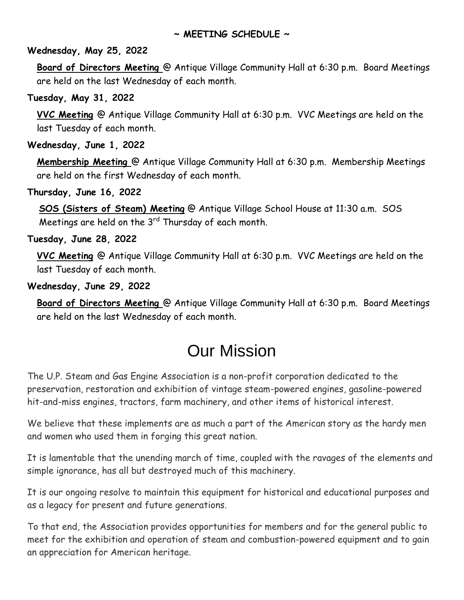#### **~ MEETING SCHEDULE ~**

#### **Wednesday, May 25, 2022**

**Board of Directors Meeting** @ Antique Village Community Hall at 6:30 p.m. Board Meetings are held on the last Wednesday of each month.

#### **Tuesday, May 31, 2022**

**VVC Meeting** @ Antique Village Community Hall at 6:30 p.m. VVC Meetings are held on the last Tuesday of each month.

**Wednesday, June 1, 2022**

**Membership Meeting** @ Antique Village Community Hall at 6:30 p.m. Membership Meetings are held on the first Wednesday of each month.

**Thursday, June 16, 2022**

**SOS (Sisters of Steam) Meeting** @ Antique Village School House at 11:30 a.m. SOS Meetings are held on the  $3<sup>rd</sup>$  Thursday of each month.

**Tuesday, June 28, 2022**

**VVC Meeting** @ Antique Village Community Hall at 6:30 p.m. VVC Meetings are held on the last Tuesday of each month.

#### **Wednesday, June 29, 2022**

**Board of Directors Meeting** @ Antique Village Community Hall at 6:30 p.m. Board Meetings are held on the last Wednesday of each month.

# Our Mission

The U.P. Steam and Gas Engine Association is a non-profit corporation dedicated to the preservation, restoration and exhibition of vintage steam-powered engines, gasoline-powered hit-and-miss engines, tractors, farm machinery, and other items of historical interest.

We believe that these implements are as much a part of the American story as the hardy men and women who used them in forging this great nation.

It is lamentable that the unending march of time, coupled with the ravages of the elements and simple ignorance, has all but destroyed much of this machinery.

It is our ongoing resolve to maintain this equipment for historical and educational purposes and as a legacy for present and future generations.

To that end, the Association provides opportunities for members and for the general public to meet for the exhibition and operation of steam and combustion-powered equipment and to gain an appreciation for American heritage.